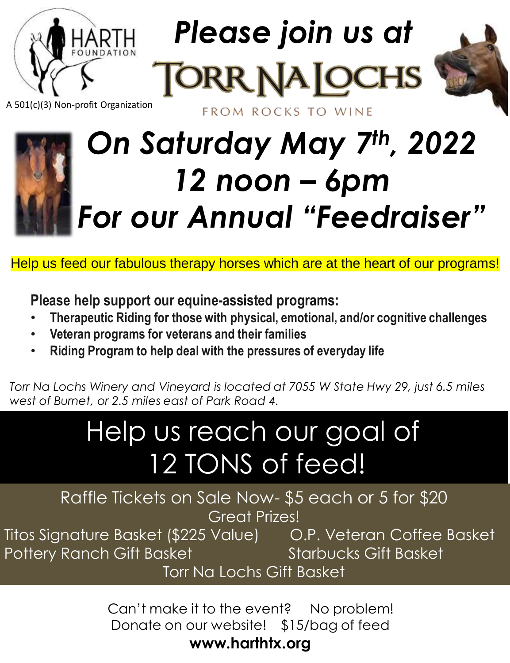

*Please join us at* 

FROM ROCKS TO WINE



A 501(c)(3) Non-profit Organization

## *On Saturday May 7th, 2022 12 noon – 6pm For our Annual "Feedraiser"*

Help us feed our fabulous therapy horses which are at the heart of our programs!

**Please help support our equine-assisted programs:**

- **Therapeutic Riding for those with physical, emotional, and/or cognitive challenges**
- **Veteran programs for veterans and their families**
- **Riding Program to help deal with the pressures of everyday life**

*Torr Na Lochs Winery and Vineyard is located at 7055 W State Hwy 29, just 6.5 miles west of Burnet, or 2.5 miles east of Park Road 4.*

## Help us reach our goal of 12 TONS of feed!

Raffle Tickets on Sale Now- \$5 each or 5 for \$20 Great Prizes!

Titos Signature Basket (\$225 Value) O.P. Veteran Coffee Basket Pottery Ranch Gift Basket Starbucks Gift Basket

Torr Na Lochs Gift Basket

Can't make it to the event? No problem! Donate on our website! \$15/bag of feed **www.harthtx.org**